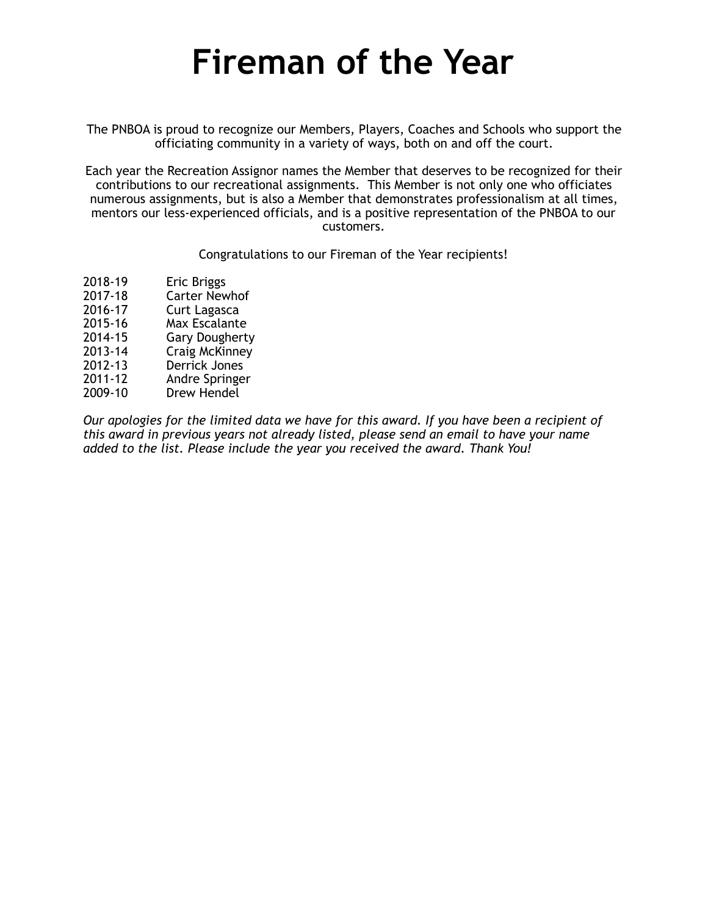The PNBOA is proud to recognize our Members, Players, Coaches and Schools who support the officiating community in a variety of ways, both on and off the court.

Each year the Recreation Assignor names the Member that deserves to be recognized for their contributions to our recreational assignments. This Member is not only one who officiates numerous assignments, but is also a Member that demonstrates professionalism at all times, mentors our less-experienced officials, and is a positive representation of the PNBOA to our customers.

Congratulations to our Fireman of the Year recipients!

- 2018-19 Eric Briggs
- 2017-18 Carter Newhof
- 2016-17 Curt Lagasca
- 2015-16 Max Escalante
- Gary Dougherty
- 2013-14 Craig McKinney
- Derrick Jones
- 2011-12 Andre Springer
- Drew Hendel

*Our apologies for the limited data we have for this award. If you have been a recipient of this award in previous years not already listed, please send an email to have your name added to the list. Please include the year you received the award. Thank You!*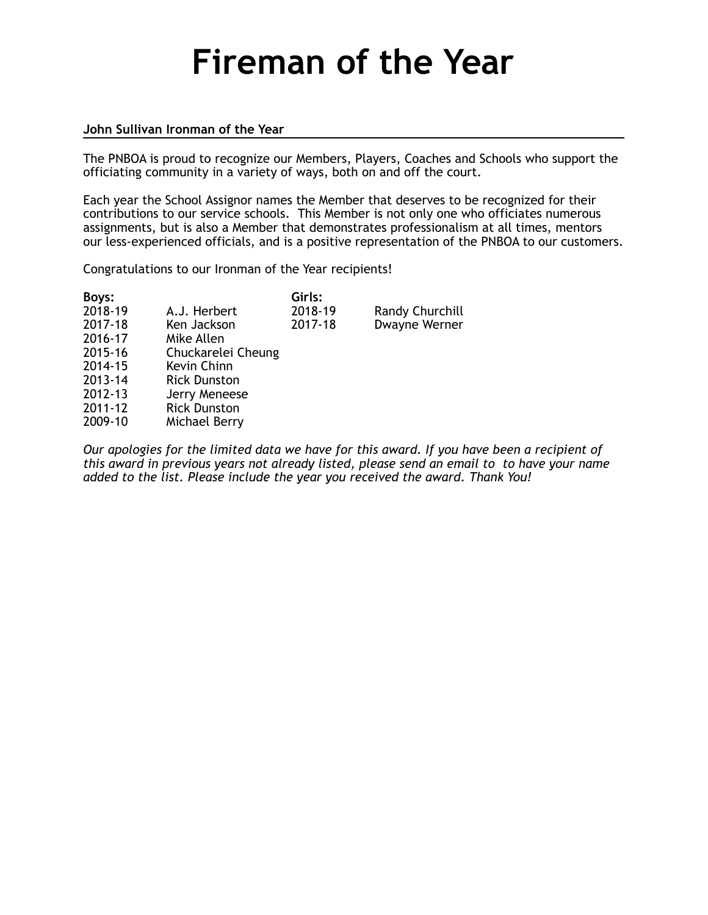#### **John Sullivan Ironman of the Year**

The PNBOA is proud to recognize our Members, Players, Coaches and Schools who support the officiating community in a variety of ways, both on and off the court.

Each year the School Assignor names the Member that deserves to be recognized for their contributions to our service schools. This Member is not only one who officiates numerous assignments, but is also a Member that demonstrates professionalism at all times, mentors our less-experienced officials, and is a positive representation of the PNBOA to our customers.

Congratulations to our Ironman of the Year recipients!

| Boys:   |                     | Girls:  |                 |
|---------|---------------------|---------|-----------------|
| 2018-19 | A.J. Herbert        | 2018-19 | Randy Churchill |
| 2017-18 | Ken Jackson         | 2017-18 | Dwayne Werner   |
| 2016-17 | Mike Allen          |         |                 |
| 2015-16 | Chuckarelei Cheung  |         |                 |
| 2014-15 | Kevin Chinn         |         |                 |
| 2013-14 | <b>Rick Dunston</b> |         |                 |
| 2012-13 | Jerry Meneese       |         |                 |
| 2011-12 | <b>Rick Dunston</b> |         |                 |
| 2009-10 | Michael Berry       |         |                 |
|         |                     |         |                 |
|         |                     |         |                 |

*Our apologies for the limited data we have for this award. If you have been a recipient of this award in previous years not already listed, please send an email to to have your name added to the list. Please include the year you received the award. Thank You!*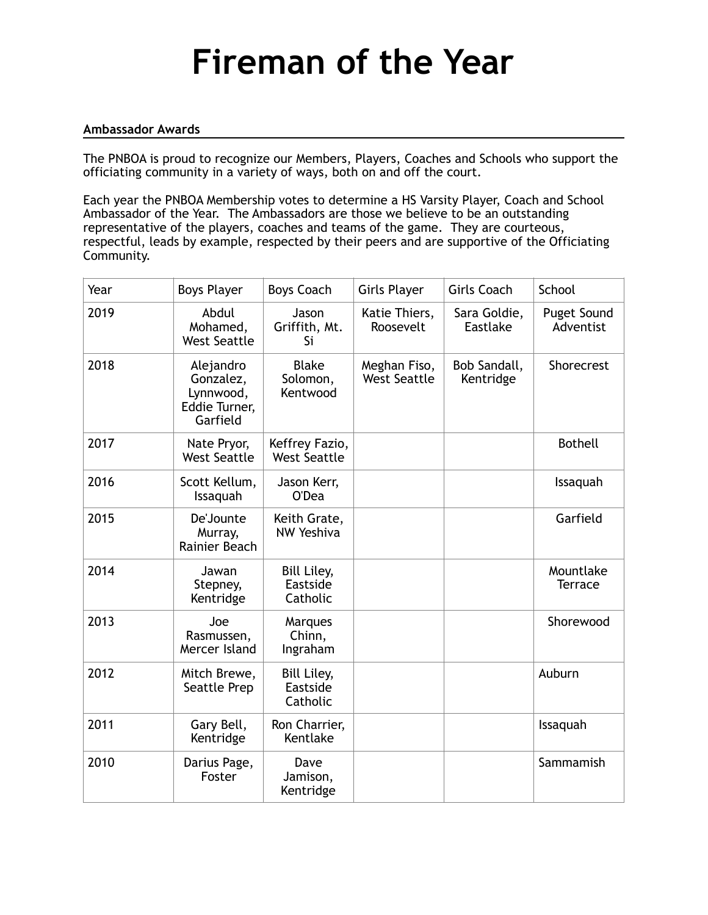### **Ambassador Awards**

The PNBOA is proud to recognize our Members, Players, Coaches and Schools who support the officiating community in a variety of ways, both on and off the court.

Each year the PNBOA Membership votes to determine a HS Varsity Player, Coach and School Ambassador of the Year. The Ambassadors are those we believe to be an outstanding representative of the players, coaches and teams of the game. They are courteous, respectful, leads by example, respected by their peers and are supportive of the Officiating Community.

| Year | <b>Boys Player</b>                                               | <b>Boys Coach</b>                          | <b>Girls Player</b>                 | <b>Girls Coach</b>        | School                      |
|------|------------------------------------------------------------------|--------------------------------------------|-------------------------------------|---------------------------|-----------------------------|
| 2019 | Abdul<br>Mohamed,<br><b>West Seattle</b>                         | Jason<br>Griffith, Mt.<br>Si               | Katie Thiers,<br>Roosevelt          | Sara Goldie,<br>Eastlake  | Puget Sound<br>Adventist    |
| 2018 | Alejandro<br>Gonzalez,<br>Lynnwood,<br>Eddie Turner,<br>Garfield | <b>Blake</b><br>Solomon,<br>Kentwood       | Meghan Fiso,<br><b>West Seattle</b> | Bob Sandall,<br>Kentridge | Shorecrest                  |
| 2017 | Nate Pryor,<br><b>West Seattle</b>                               | Keffrey Fazio,<br><b>West Seattle</b>      |                                     |                           | <b>Bothell</b>              |
| 2016 | Scott Kellum,<br>Issaquah                                        | Jason Kerr,<br>O'Dea                       |                                     |                           | Issaquah                    |
| 2015 | De'Jounte<br>Murray,<br>Rainier Beach                            | Keith Grate,<br><b>NW Yeshiva</b>          |                                     |                           | Garfield                    |
| 2014 | Jawan<br>Stepney,<br>Kentridge                                   | <b>Bill Liley,</b><br>Eastside<br>Catholic |                                     |                           | Mountlake<br><b>Terrace</b> |
| 2013 | Joe<br>Rasmussen,<br>Mercer Island                               | Marques<br>Chinn,<br>Ingraham              |                                     |                           | Shorewood                   |
| 2012 | Mitch Brewe,<br>Seattle Prep                                     | Bill Liley,<br>Eastside<br>Catholic        |                                     |                           | Auburn                      |
| 2011 | Gary Bell,<br>Kentridge                                          | Ron Charrier,<br>Kentlake                  |                                     |                           | Issaquah                    |
| 2010 | Darius Page,<br>Foster                                           | Dave<br>Jamison,<br>Kentridge              |                                     |                           | Sammamish                   |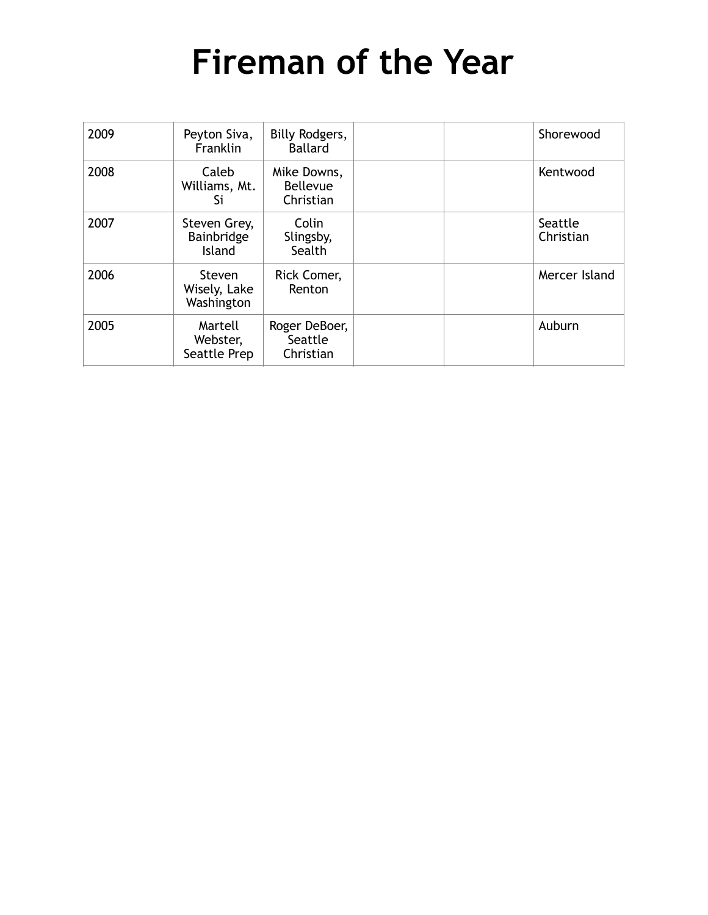| 2009 | Peyton Siva,<br>Franklin                    | Billy Rodgers,<br><b>Ballard</b>            |  | Shorewood            |
|------|---------------------------------------------|---------------------------------------------|--|----------------------|
| 2008 | Caleb<br>Williams, Mt.<br>Si                | Mike Downs,<br><b>Bellevue</b><br>Christian |  | Kentwood             |
| 2007 | Steven Grey,<br>Bainbridge<br><b>Island</b> | Colin<br>Slingsby,<br>Sealth                |  | Seattle<br>Christian |
| 2006 | Steven<br>Wisely, Lake<br>Washington        | Rick Comer,<br>Renton                       |  | Mercer Island        |
| 2005 | Martell<br>Webster,<br>Seattle Prep         | Roger DeBoer,<br>Seattle<br>Christian       |  | Auburn               |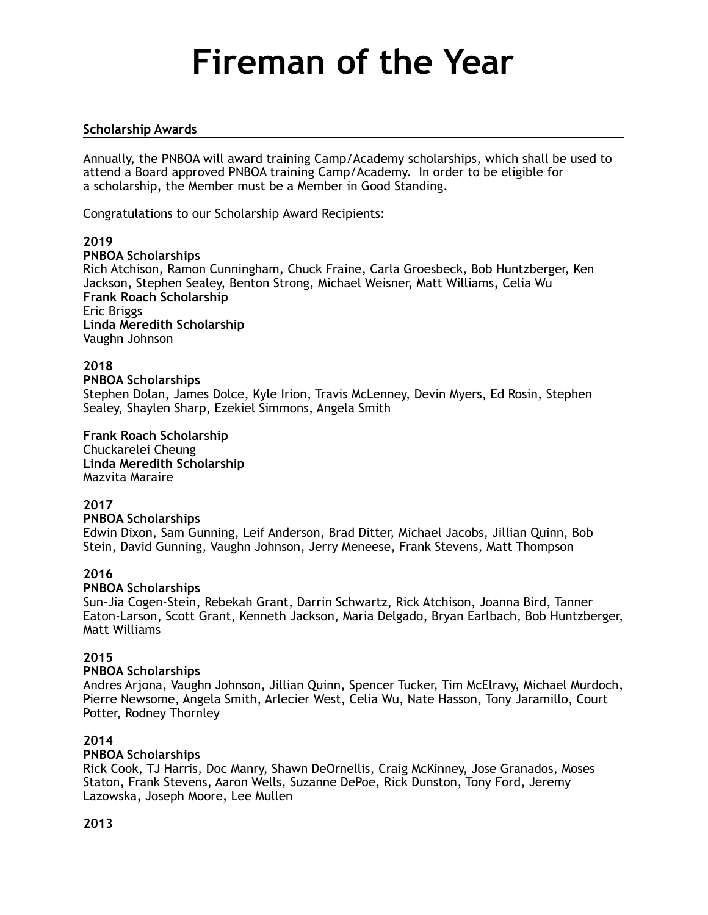### **Scholarship Awards**

Annually, the PNBOA will award training Camp/Academy scholarships, which shall be used to attend a Board approved PNBOA training Camp/Academy. In order to be eligible for a scholarship, the Member must be a Member in Good Standing.

Congratulations to our Scholarship Award Recipients:

### **2019**

### **PNBOA Scholarships**

Rich Atchison, Ramon Cunningham, Chuck Fraine, Carla Groesbeck, Bob Huntzberger, Ken Jackson, Stephen Sealey, Benton Strong, Michael Weisner, Matt Williams, Celia Wu **Frank Roach Scholarship** Eric Briggs **Linda Meredith Scholarship**  Vaughn Johnson

### **2018**

#### **PNBOA Scholarships**

Stephen Dolan, James Dolce, Kyle Irion, Travis McLenney, Devin Myers, Ed Rosin, Stephen Sealey, Shaylen Sharp, Ezekiel Simmons, Angela Smith

**Frank Roach Scholarship**  Chuckarelei Cheung **Linda Meredith Scholarship**  Mazvita Maraire

#### **2017**

#### **PNBOA Scholarships**

Edwin Dixon, Sam Gunning, Leif Anderson, Brad Ditter, Michael Jacobs, Jillian Quinn, Bob Stein, David Gunning, Vaughn Johnson, Jerry Meneese, Frank Stevens, Matt Thompson

## **2016**

#### **PNBOA Scholarships**

Sun-Jia Cogen-Stein, Rebekah Grant, Darrin Schwartz, Rick Atchison, Joanna Bird, Tanner Eaton-Larson, Scott Grant, Kenneth Jackson, Maria Delgado, Bryan Earlbach, Bob Huntzberger, Matt Williams

### **2015**

#### **PNBOA Scholarships**

Andres Arjona, Vaughn Johnson, Jillian Quinn, Spencer Tucker, Tim McElravy, Michael Murdoch, Pierre Newsome, Angela Smith, Arlecier West, Celia Wu, Nate Hasson, Tony Jaramillo, Court Potter, Rodney Thornley

### **2014**

#### **PNBOA Scholarships**

Rick Cook, TJ Harris, Doc Manry, Shawn DeOrnellis, Craig McKinney, Jose Granados, Moses Staton, Frank Stevens, Aaron Wells, Suzanne DePoe, Rick Dunston, Tony Ford, Jeremy Lazowska, Joseph Moore, Lee Mullen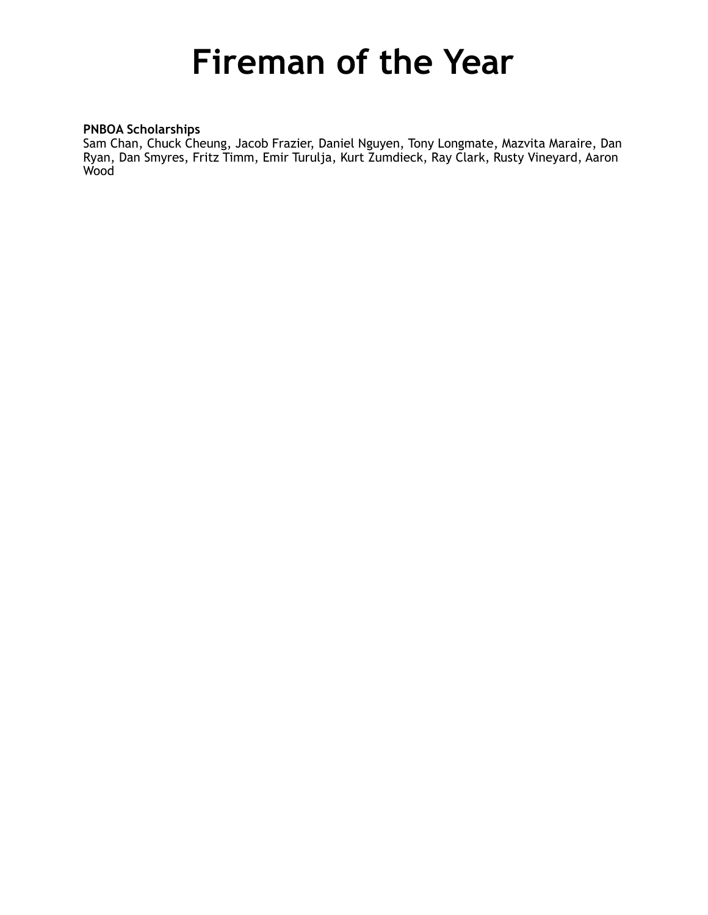## **PNBOA Scholarships**

Sam Chan, Chuck Cheung, Jacob Frazier, Daniel Nguyen, Tony Longmate, Mazvita Maraire, Dan Ryan, Dan Smyres, Fritz Timm, Emir Turulja, Kurt Zumdieck, Ray Clark, Rusty Vineyard, Aaron Wood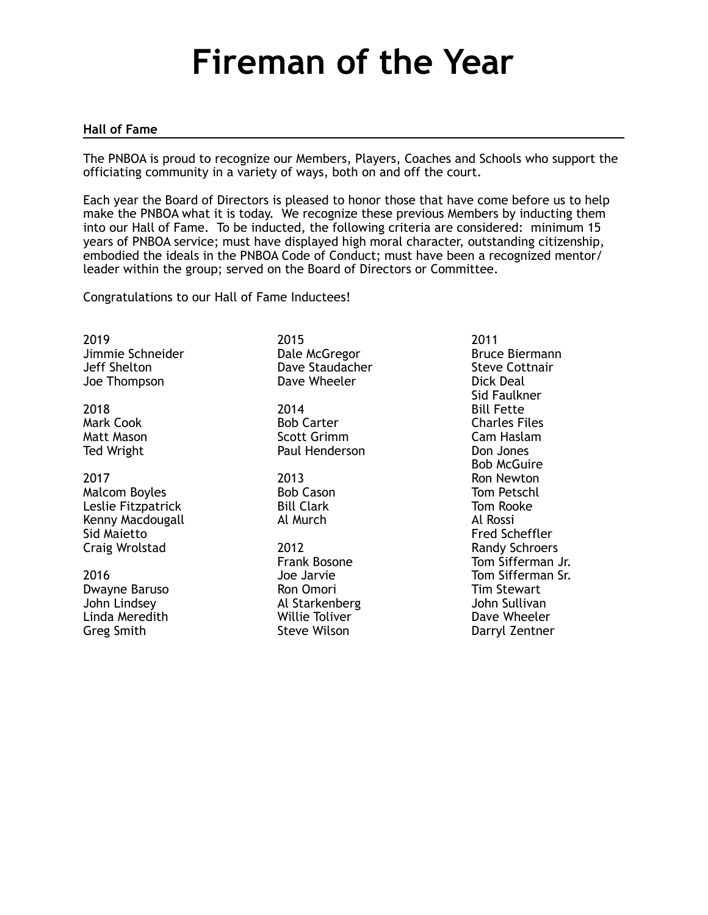### **Hall of Fame**

The PNBOA is proud to recognize our Members, Players, Coaches and Schools who support the officiating community in a variety of ways, both on and off the court.

Each year the Board of Directors is pleased to honor those that have come before us to help make the PNBOA what it is today. We recognize these previous Members by inducting them into our Hall of Fame. To be inducted, the following criteria are considered: minimum 15 years of PNBOA service; must have displayed high moral character, outstanding citizenship, embodied the ideals in the PNBOA Code of Conduct; must have been a recognized mentor/ leader within the group; served on the Board of Directors or Committee.

Congratulations to our Hall of Fame Inductees!

2019 Jimmie Schneider Jeff Shelton Joe Thompson

2018 Mark Cook Matt Mason Ted Wright

2017 Malcom Boyles Leslie Fitzpatrick Kenny Macdougall Sid Maietto Craig Wrolstad

2016 Dwayne Baruso John Lindsey Linda Meredith Greg Smith

2015 Dale McGregor Dave Staudacher Dave Wheeler

2014 Bob Carter Scott Grimm Paul Henderson

2013 Bob Cason Bill Clark Al Murch

2012 Frank Bosone Joe Jarvie Ron Omori Al Starkenberg Willie Toliver Steve Wilson

2011 Bruce Biermann Steve Cottnair Dick Deal Sid Faulkner Bill Fette Charles Files Cam Haslam Don Jones Bob McGuire Ron Newton Tom Petschl Tom Rooke Al Rossi Fred Scheffler Randy Schroers Tom Sifferman Jr. Tom Sifferman Sr. Tim Stewart John Sullivan Dave Wheeler Darryl Zentner